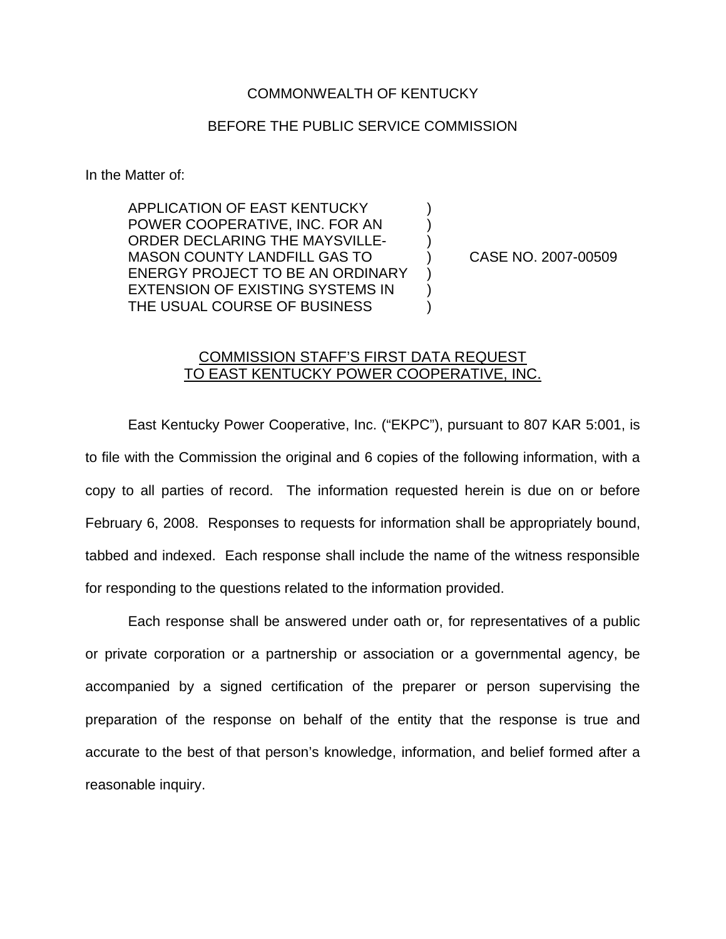## COMMONWEALTH OF KENTUCKY

## BEFORE THE PUBLIC SERVICE COMMISSION

In the Matter of:

APPLICATION OF EAST KENTUCKY ) POWER COOPERATIVE, INC. FOR AN ) ORDER DECLARING THE MAYSVILLE-MASON COUNTY LANDFILL GAS TO ) CASE NO. 2007-00509 ENERGY PROJECT TO BE AN ORDINARY EXTENSION OF EXISTING SYSTEMS IN ) THE USUAL COURSE OF BUSINESS  $\qquad \qquad )$ 

## COMMISSION STAFF'S FIRST DATA REQUEST TO EAST KENTUCKY POWER COOPERATIVE, INC.

East Kentucky Power Cooperative, Inc. ("EKPC"), pursuant to 807 KAR 5:001, is to file with the Commission the original and 6 copies of the following information, with a copy to all parties of record. The information requested herein is due on or before February 6, 2008. Responses to requests for information shall be appropriately bound, tabbed and indexed. Each response shall include the name of the witness responsible for responding to the questions related to the information provided.

Each response shall be answered under oath or, for representatives of a public or private corporation or a partnership or association or a governmental agency, be accompanied by a signed certification of the preparer or person supervising the preparation of the response on behalf of the entity that the response is true and accurate to the best of that person's knowledge, information, and belief formed after a reasonable inquiry.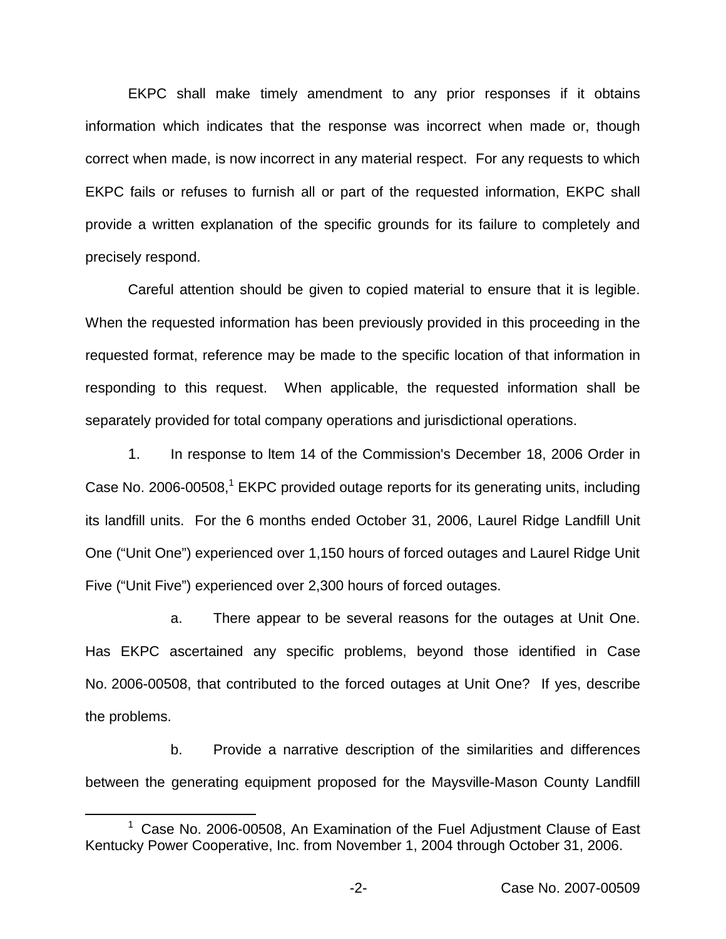EKPC shall make timely amendment to any prior responses if it obtains information which indicates that the response was incorrect when made or, though correct when made, is now incorrect in any material respect. For any requests to which EKPC fails or refuses to furnish all or part of the requested information, EKPC shall provide a written explanation of the specific grounds for its failure to completely and precisely respond.

Careful attention should be given to copied material to ensure that it is legible. When the requested information has been previously provided in this proceeding in the requested format, reference may be made to the specific location of that information in responding to this request. When applicable, the requested information shall be separately provided for total company operations and jurisdictional operations.

1. In response to ltem 14 of the Commission's December 18, 2006 Order in Case No. 2006-00508,<sup>1</sup> EKPC provided outage reports for its generating units, including its landfill units. For the 6 months ended October 31, 2006, Laurel Ridge Landfill Unit One ("Unit One") experienced over 1,150 hours of forced outages and Laurel Ridge Unit Five ("Unit Five") experienced over 2,300 hours of forced outages.

a. There appear to be several reasons for the outages at Unit One. Has EKPC ascertained any specific problems, beyond those identified in Case No. 2006-00508, that contributed to the forced outages at Unit One? If yes, describe the problems.

b. Provide a narrative description of the similarities and differences between the generating equipment proposed for the Maysville-Mason County Landfill

 $1$  Case No. 2006-00508, An Examination of the Fuel Adjustment Clause of East Kentucky Power Cooperative, Inc. from November 1, 2004 through October 31, 2006.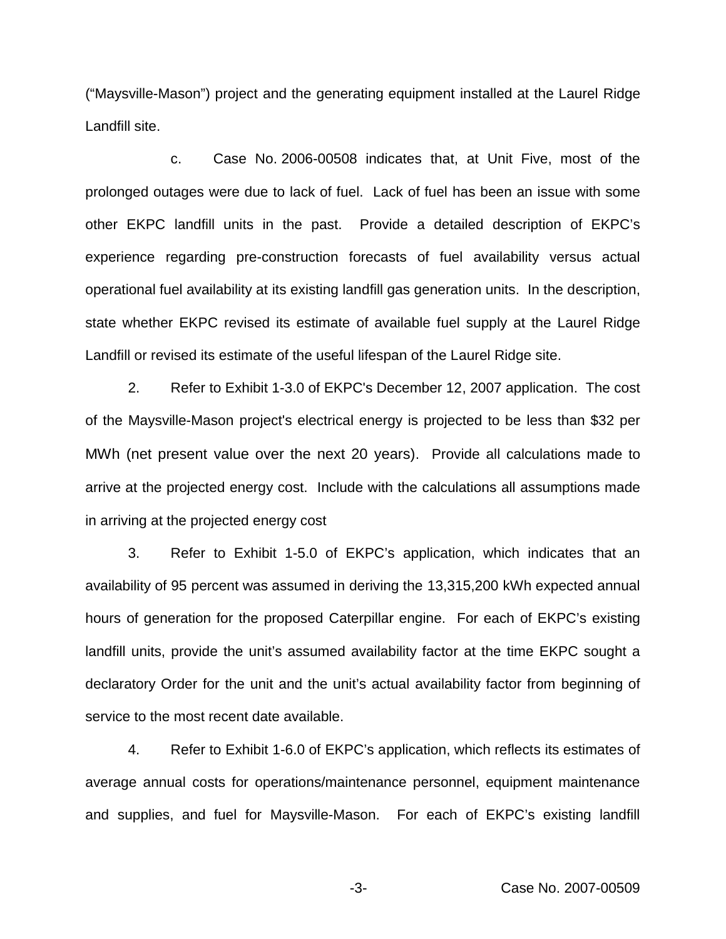("Maysville-Mason") project and the generating equipment installed at the Laurel Ridge Landfill site.

c. Case No. 2006-00508 indicates that, at Unit Five, most of the prolonged outages were due to lack of fuel. Lack of fuel has been an issue with some other EKPC landfill units in the past. Provide a detailed description of EKPC's experience regarding pre-construction forecasts of fuel availability versus actual operational fuel availability at its existing landfill gas generation units. In the description, state whether EKPC revised its estimate of available fuel supply at the Laurel Ridge Landfill or revised its estimate of the useful lifespan of the Laurel Ridge site.

2. Refer to Exhibit 1-3.0 of EKPC's December 12, 2007 application. The cost of the Maysville-Mason project's electrical energy is projected to be less than \$32 per MWh (net present value over the next 20 years). Provide all calculations made to arrive at the projected energy cost. Include with the calculations all assumptions made in arriving at the projected energy cost

3. Refer to Exhibit 1-5.0 of EKPC's application, which indicates that an availability of 95 percent was assumed in deriving the 13,315,200 kWh expected annual hours of generation for the proposed Caterpillar engine. For each of EKPC's existing landfill units, provide the unit's assumed availability factor at the time EKPC sought a declaratory Order for the unit and the unit's actual availability factor from beginning of service to the most recent date available.

4. Refer to Exhibit 1-6.0 of EKPC's application, which reflects its estimates of average annual costs for operations/maintenance personnel, equipment maintenance and supplies, and fuel for Maysville-Mason. For each of EKPC's existing landfill

-3- Case No. 2007-00509